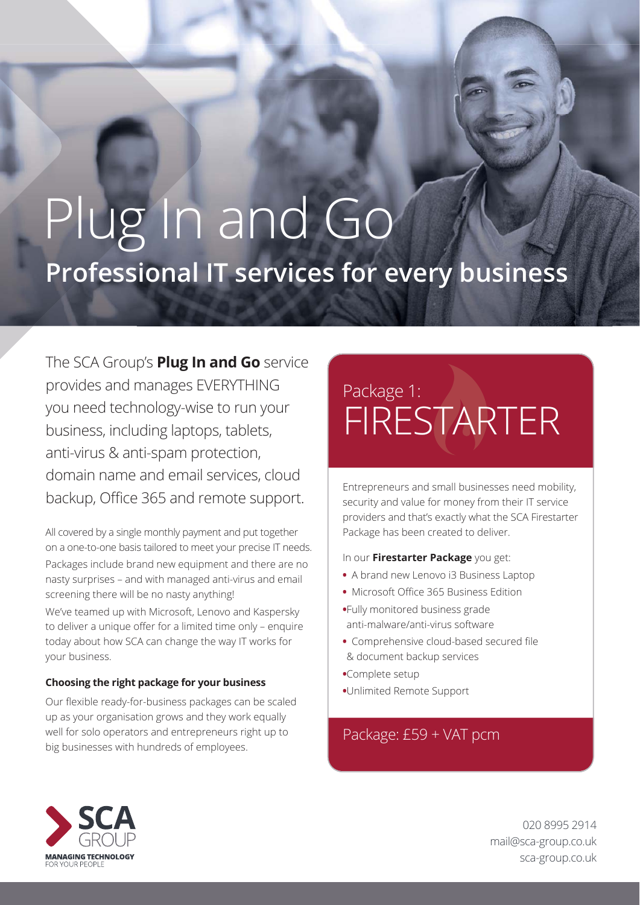# Plug In and Go **Professional IT services for every business**

The SCA Group's **Plug In and Go** service provides and manages EVERYTHING you need technology-wise to run your business, including laptops, tablets, anti-virus & anti-spam protection, domain name and email services, cloud backup, Office 365 and remote support.

All covered by a single monthly payment and put together on a one-to-one basis tailored to meet your precise IT needs. Packages include brand new equipment and there are no nasty surprises – and with managed anti-virus and email screening there will be no nasty anything!

We've teamed up with Microsoft, Lenovo and Kaspersky to deliver a unique offer for a limited time only - enquire today about how SCA can change the way IT works for your business.

#### **Choosing the right package for your business**

Our flexible ready-for-business packages can be scaled up as your organisation grows and they work equally well for solo operators and entrepreneurs right up to big businesses with hundreds of employees.

### Package 1: **FIRESTARTER**

Entrepreneurs and small businesses need mobility, security and value for money from their IT service providers and that's exactly what the SCA Firestarter Package has been created to deliver.

#### In our **Firestarter Package** you get:

- A brand new Lenovo i3 Business Laptop
- Microsoft Office 365 Business Edition
- **•**Fully monitored business grade anti-malware/anti-virus software
- Comprehensive cloud-based secured file & document backup services
- **•**Complete setup
- **•**Unlimited Remote Support

### Package: £59 + VAT pcm



020 8995 2914 mail@sca-group.co.uk sca-group.co.uk